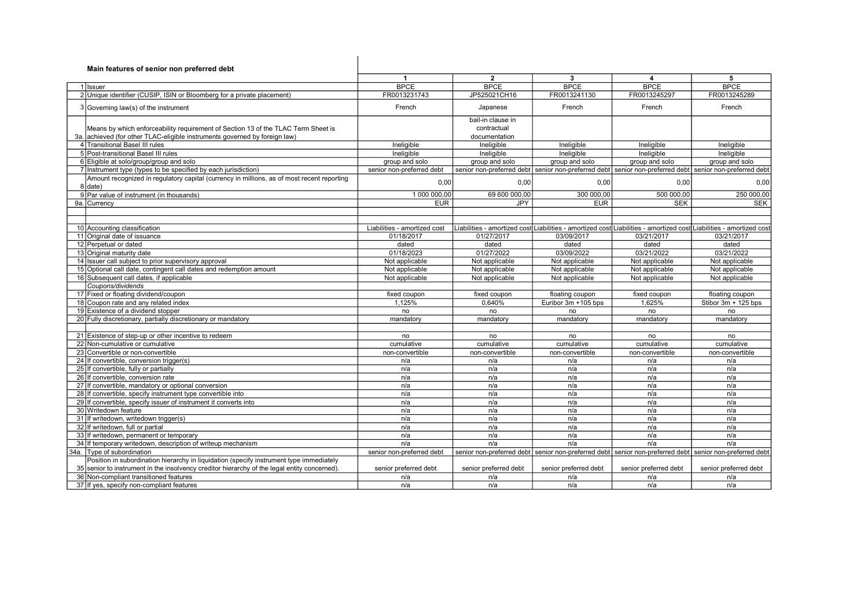| Main features of senior non preferred debt                                                            |                              |                           |                       |                                                                                                                     |                           |
|-------------------------------------------------------------------------------------------------------|------------------------------|---------------------------|-----------------------|---------------------------------------------------------------------------------------------------------------------|---------------------------|
|                                                                                                       | $\mathbf{1}$                 | $\overline{2}$            | 3                     | 4                                                                                                                   | 5                         |
| 1 Issuer                                                                                              | <b>BPCE</b>                  | <b>BPCE</b>               | <b>BPCE</b>           | <b>BPCE</b>                                                                                                         | <b>BPCE</b>               |
| 2 Unique identifier (CUSIP, ISIN or Bloomberg for a private placement)                                | FR0013231743                 | JP525021CH16              | FR0013241130          | FR0013245297                                                                                                        | FR0013245289              |
|                                                                                                       |                              |                           |                       |                                                                                                                     |                           |
| 3 Governing law(s) of the instrument                                                                  | French                       | Japanese                  | French                | French                                                                                                              | French                    |
|                                                                                                       |                              | bail-in clause in         |                       |                                                                                                                     |                           |
| Means by which enforceability requirement of Section 13 of the TLAC Term Sheet is                     |                              | contractual               |                       |                                                                                                                     |                           |
| 3a. achieved (for other TLAC-eligible instruments governed by foreign law)                            |                              | documentation             |                       |                                                                                                                     |                           |
| 4 Transitional Basel III rules                                                                        | Ineligible                   | Ineligible                | Ineligible            | Ineligible                                                                                                          | Ineligible                |
| 5 Post-transitional Basel III rules                                                                   | Ineligible                   | Ineligible                | Ineligible            | Ineligible                                                                                                          | Ineligible                |
| 6 Eligible at solo/group/group and solo                                                               | group and solo               | group and solo            | group and solo        | group and solo                                                                                                      | group and solo            |
| 7 Instrument type (types to be specified by each jurisdiction)                                        | senior non-preferred debt    |                           |                       | senior non-preferred debt senior non-preferred debt senior non-preferred debt senior non-preferred debt             |                           |
| Amount recognized in regulatory capital (currency in millions, as of most recent reporting<br>8 date) | 0,00                         | 0,00                      | 0,00                  | 0,00                                                                                                                | 0,00                      |
| 9 Par value of instrument (in thousands)                                                              | 1 000 000,00                 | 69 600 000,00             | 300 000,00            | 500 000,00                                                                                                          | 250 000,00                |
| 9a. Currency                                                                                          | <b>EUR</b>                   | <b>JPY</b>                | <b>EUR</b>            | <b>SEK</b>                                                                                                          | <b>SEK</b>                |
|                                                                                                       |                              |                           |                       |                                                                                                                     |                           |
|                                                                                                       |                              |                           |                       |                                                                                                                     |                           |
| 10 Accounting classification                                                                          | Liabilities - amortized cost |                           |                       | Liabilities - amortized cost∣Liabilities - amortized cost∣Liabilities - amortized cost∣Liabilities - amortized cost |                           |
| 11 Original date of issuance                                                                          | 01/18/2017                   | 01/27/2017                | 03/09/2017            | 03/21/2017                                                                                                          | 03/21/2017                |
| 12 Perpetual or dated                                                                                 | dated                        | dated                     | dated                 | dated                                                                                                               | dated                     |
| 13 Original maturity date                                                                             | 01/18/2023                   | 01/27/2022                | 03/09/2022            | 03/21/2022                                                                                                          | 03/21/2022                |
| 14 Issuer call subject to prior supervisory approval                                                  | Not applicable               | Not applicable            | Not applicable        | Not applicable                                                                                                      | Not applicable            |
| 15 Optional call date, contingent call dates and redemption amount                                    | Not applicable               | Not applicable            | Not applicable        | Not applicable                                                                                                      | Not applicable            |
| 16 Subsequent call dates, if applicable                                                               | Not applicable               | Not applicable            | Not applicable        | Not applicable                                                                                                      | Not applicable            |
| Coupons/dividends                                                                                     |                              |                           |                       |                                                                                                                     |                           |
| 17 Fixed or floating dividend/coupon                                                                  | fixed coupon                 | fixed coupon              | floating coupon       | fixed coupon                                                                                                        | floating coupon           |
| 18 Coupon rate and any related index                                                                  | 1,125%                       | 0,640%                    | Euribor 3m +105 bps   | 1,625%                                                                                                              | Stibor $3m + 125$ bps     |
| 19 Existence of a dividend stopper                                                                    | no                           | no                        | no                    | no                                                                                                                  | no                        |
| 20 Fully discretionary, partially discretionary or mandatory                                          | mandatory                    | mandatory                 | mandatory             | mandatory                                                                                                           | mandatory                 |
|                                                                                                       |                              |                           |                       |                                                                                                                     |                           |
| 21 Existence of step-up or other incentive to redeem                                                  | no                           | no                        | no                    | no                                                                                                                  | no                        |
| 22 Non-cumulative or cumulative                                                                       | cumulative                   | cumulative                | cumulative            | cumulative                                                                                                          | cumulative                |
| 23 Convertible or non-convertible                                                                     | non-convertible              | non-convertible           | non-convertible       | non-convertible                                                                                                     | non-convertible           |
| 24 If convertible, conversion trigger(s)                                                              | n/a                          | n/a                       | n/a                   | n/a                                                                                                                 | n/a                       |
| 25 If convertible, fully or partially                                                                 | n/a                          | n/a                       | n/a                   | n/a                                                                                                                 | n/a                       |
| 26 If convertible, conversion rate                                                                    | n/a                          | n/a                       | n/a                   | n/a                                                                                                                 | n/a                       |
| 27 If convertible, mandatory or optional conversion                                                   | n/a                          | n/a                       | n/a                   | n/a                                                                                                                 | n/a                       |
| 28 If convertible, specify instrument type convertible into                                           | n/a                          | n/a                       | n/a                   | n/a                                                                                                                 | n/a                       |
| 29 If convertible, specify issuer of instrument it converts into                                      | n/a                          | n/a                       | n/a                   | n/a                                                                                                                 | n/a                       |
| 30 Writedown feature                                                                                  | n/a                          | n/a                       | n/a                   | n/a                                                                                                                 | n/a                       |
| 31 If writedown, writedown trigger(s)                                                                 | n/a                          | n/a                       | n/a                   | n/a                                                                                                                 | n/a                       |
| 32 If writedown, full or partial                                                                      | n/a                          | n/a                       | n/a                   | n/a                                                                                                                 | n/a                       |
| 33 If writedown, permanent or temporary                                                               | n/a                          | n/a                       | n/a                   | n/a                                                                                                                 | n/a                       |
| 34 If temporary writedown, description of writeup mechanism                                           | n/a                          | n/a                       | n/a                   | n/a                                                                                                                 | n/a                       |
| 34a. Type of subordination                                                                            | senior non-preferred debt    | senior non-preferred debt |                       | senior non-preferred debt senior non-preferred debt                                                                 | senior non-preferred debt |
| Position in subordination hierarchy in liquidation (specify instrument type immediately               |                              |                           |                       |                                                                                                                     |                           |
| 35 senior to instrument in the insolvency creditor hierarchy of the legal entity concerned).          | senior preferred debt        | senior preferred debt     | senior preferred debt | senior preferred debt                                                                                               | senior preferred debt     |
| 36 Non-compliant transitioned features                                                                | n/a                          | n/a                       | n/a                   | n/a                                                                                                                 | n/a                       |
| 37 If yes, specify non-compliant features                                                             | n/a                          | n/a                       | n/a                   | n/a                                                                                                                 | n/a                       |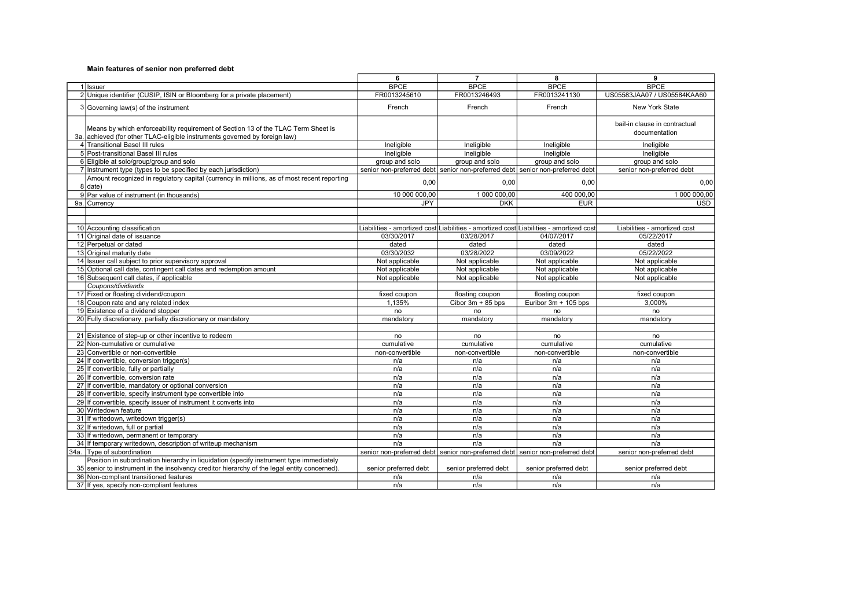|                                                                                                                                                                 | 6                     | $\overline{7}$                                                                         | 8                     | 9                                              |
|-----------------------------------------------------------------------------------------------------------------------------------------------------------------|-----------------------|----------------------------------------------------------------------------------------|-----------------------|------------------------------------------------|
| 1 Issuer                                                                                                                                                        | <b>BPCE</b>           | <b>BPCE</b>                                                                            | <b>BPCE</b>           | <b>BPCE</b>                                    |
| 2 Unique identifier (CUSIP, ISIN or Bloomberg for a private placement)                                                                                          | FR0013245610          | FR0013246493                                                                           | FR0013241130          | US05583JAA07 / US05584KAA60                    |
| 3 Governing law(s) of the instrument                                                                                                                            | French                | French                                                                                 | French                | New York State                                 |
| Means by which enforceability requirement of Section 13 of the TLAC Term Sheet is<br>3a. achieved (for other TLAC-eligible instruments governed by foreign law) |                       |                                                                                        |                       | bail-in clause in contractual<br>documentation |
| 4 Transitional Basel III rules                                                                                                                                  | Ineligible            | Ineligible                                                                             | Ineligible            | Ineligible                                     |
| 5 Post-transitional Basel III rules                                                                                                                             | Ineligible            | Ineligible                                                                             | Ineligible            | Ineligible                                     |
| 6 Eligible at solo/group/group and solo                                                                                                                         | group and solo        | group and solo                                                                         | group and solo        | group and solo                                 |
| 7 Instrument type (types to be specified by each jurisdiction)                                                                                                  |                       | senior non-preferred debt senior non-preferred debt senior non-preferred debt          |                       | senior non-preferred debt                      |
| Amount recognized in regulatory capital (currency in millions, as of most recent reporting<br>$8$ date)                                                         | 0,00                  | 0,00                                                                                   | 0,00                  | 0,00                                           |
| 9 Par value of instrument (in thousands)                                                                                                                        | 10 000 000.00         | 1 000 000.00                                                                           | 400 000.00            | 1 000 000.00                                   |
| 9a. Currency                                                                                                                                                    | <b>JPY</b>            | <b>DKK</b>                                                                             | <b>EUR</b>            | <b>USD</b>                                     |
|                                                                                                                                                                 |                       |                                                                                        |                       |                                                |
|                                                                                                                                                                 |                       |                                                                                        |                       |                                                |
| 10 Accounting classification                                                                                                                                    |                       | Liabilities - amortized cost Liabilities - amortized cost Liabilities - amortized cost |                       | Liabilities - amortized cost                   |
| 11 Original date of issuance                                                                                                                                    | 03/30/2017            | 03/28/2017                                                                             | 04/07/2017            | 05/22/2017                                     |
| 12 Perpetual or dated                                                                                                                                           | dated                 | dated                                                                                  | dated                 | dated                                          |
| 13 Original maturity date                                                                                                                                       | 03/30/2032            | 03/28/2022                                                                             | 03/09/2022            | 05/22/2022                                     |
| 14 Issuer call subject to prior supervisory approval                                                                                                            | Not applicable        | Not applicable                                                                         | Not applicable        | Not applicable                                 |
| 15 Optional call date, contingent call dates and redemption amount                                                                                              | Not applicable        | Not applicable                                                                         | Not applicable        | Not applicable                                 |
| 16 Subsequent call dates, if applicable                                                                                                                         | Not applicable        | Not applicable                                                                         | Not applicable        | Not applicable                                 |
| Coupons/dividends                                                                                                                                               |                       |                                                                                        |                       |                                                |
| 17 Fixed or floating dividend/coupon                                                                                                                            | fixed coupon          | floating coupon                                                                        | floating coupon       | fixed coupon                                   |
| 18 Coupon rate and any related index                                                                                                                            | 1,135%                | Cibor $3m + 85$ bps                                                                    | Euribor 3m + 105 bps  | 3.000%                                         |
| 19 Existence of a dividend stopper                                                                                                                              | no                    | no                                                                                     | no                    | no                                             |
| 20 Fully discretionary, partially discretionary or mandatory                                                                                                    | mandatory             | mandatory                                                                              | mandatory             | mandatory                                      |
|                                                                                                                                                                 |                       |                                                                                        |                       |                                                |
| 21 Existence of step-up or other incentive to redeem                                                                                                            | no                    | no                                                                                     | no                    | no                                             |
| 22 Non-cumulative or cumulative                                                                                                                                 | cumulative            | cumulative                                                                             | cumulative            | cumulative                                     |
| 23 Convertible or non-convertible                                                                                                                               | non-convertible       | non-convertible                                                                        | non-convertible       | non-convertible                                |
| 24 If convertible, conversion trigger(s)                                                                                                                        | n/a                   | n/a                                                                                    | n/a                   | n/a                                            |
| 25 If convertible, fully or partially                                                                                                                           | n/a                   | n/a                                                                                    | n/a                   | n/a                                            |
| 26 If convertible, conversion rate                                                                                                                              | n/a                   | n/a                                                                                    | n/a                   | n/a                                            |
| 27 If convertible, mandatory or optional conversion                                                                                                             | n/a                   | n/a                                                                                    | n/a                   | n/a                                            |
| 28 If convertible, specify instrument type convertible into                                                                                                     | n/a                   | n/a                                                                                    | n/a                   | n/a                                            |
| 29 If convertible, specify issuer of instrument it converts into                                                                                                | n/a                   | n/a                                                                                    | n/a                   | n/a                                            |
| 30 Writedown feature                                                                                                                                            | n/a                   | n/a                                                                                    | n/a                   | n/a                                            |
| 31 If writedown, writedown trigger(s)                                                                                                                           | n/a                   | n/a                                                                                    | n/a                   | n/a                                            |
| 32 If writedown, full or partial                                                                                                                                | n/a                   | n/a                                                                                    | n/a                   | n/a                                            |
| 33 If writedown, permanent or temporary                                                                                                                         | n/a                   | n/a                                                                                    | n/a                   | n/a                                            |
| 34 If temporary writedown, description of writeup mechanism                                                                                                     | n/a                   | n/a                                                                                    | n/a                   | n/a                                            |
| 34a. Type of subordination                                                                                                                                      |                       | senior non-preferred debt senior non-preferred debt senior non-preferred debt          |                       | senior non-preferred debt                      |
| Position in subordination hierarchy in liquidation (specify instrument type immediately                                                                         |                       |                                                                                        |                       |                                                |
| 35 senior to instrument in the insolvency creditor hierarchy of the legal entity concerned).                                                                    | senior preferred debt | senior preferred debt                                                                  | senior preferred debt | senior preferred debt                          |
| 36 Non-compliant transitioned features                                                                                                                          | n/a                   | n/a                                                                                    | n/a                   | n/a                                            |
| 37 If yes, specify non-compliant features                                                                                                                       | n/a                   | n/a                                                                                    | n/a                   | n/a                                            |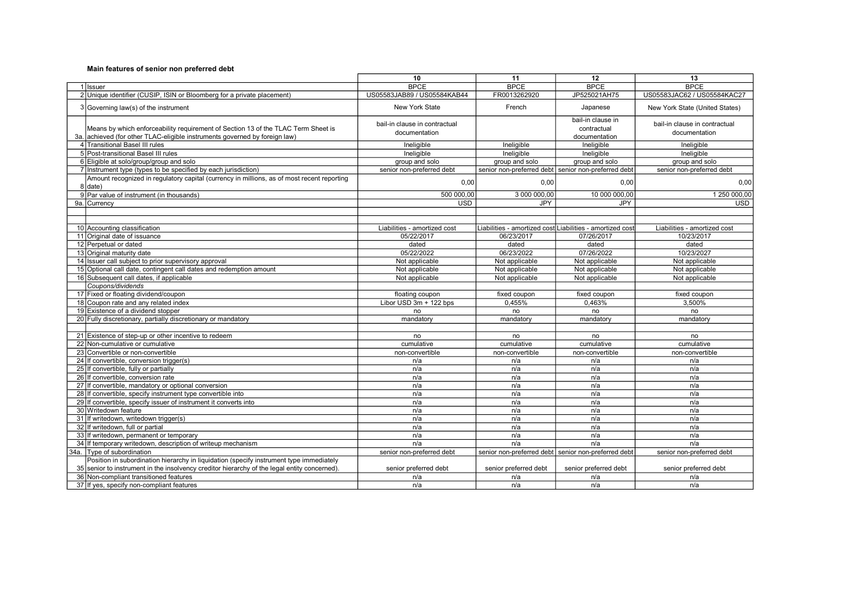|                                                                                                                                                                 | 10                                             | 11                    | 12                                                        | 13                                             |
|-----------------------------------------------------------------------------------------------------------------------------------------------------------------|------------------------------------------------|-----------------------|-----------------------------------------------------------|------------------------------------------------|
| 1 Ilssuer                                                                                                                                                       | <b>BPCE</b>                                    | <b>BPCE</b>           | <b>BPCE</b>                                               | <b>BPCE</b>                                    |
| 2 Unique identifier (CUSIP, ISIN or Bloomberg for a private placement)                                                                                          | US05583JAB89 / US05584KAB44                    | FR0013262920          | JP525021AH75                                              | US05583JAC62 / US05584KAC27                    |
| 3 Governing law(s) of the instrument                                                                                                                            | New York State                                 | French                | Japanese                                                  | New York State (United States)                 |
| Means by which enforceability requirement of Section 13 of the TLAC Term Sheet is<br>3a. achieved (for other TLAC-eligible instruments governed by foreign law) | bail-in clause in contractual<br>documentation |                       | bail-in clause in<br>contractual<br>documentation         | bail-in clause in contractual<br>documentation |
| 4 Transitional Basel III rules                                                                                                                                  | Ineligible                                     | Ineligible            | Ineligible                                                | Ineligible                                     |
| 5 Post-transitional Basel III rules                                                                                                                             | Ineligible                                     | Ineligible            | Ineligible                                                | Ineligible                                     |
| 6 Eligible at solo/group/group and solo                                                                                                                         | group and solo                                 | group and solo        | group and solo                                            | group and solo                                 |
| 7 Instrument type (types to be specified by each jurisdiction)                                                                                                  | senior non-preferred debt                      |                       | senior non-preferred debt senior non-preferred debt       | senior non-preferred debt                      |
| Amount recognized in regulatory capital (currency in millions, as of most recent reporting<br>8 date)                                                           | 0,00                                           | 0,00                  | 0,00                                                      | 0,00                                           |
| 9 Par value of instrument (in thousands)                                                                                                                        | 500 000,00                                     | 3 000 000,00          | 10 000 000,00                                             | 1 250 000,00                                   |
| 9a. Currency                                                                                                                                                    | <b>USD</b>                                     | JPY                   | JPY                                                       | <b>USD</b>                                     |
|                                                                                                                                                                 |                                                |                       |                                                           |                                                |
|                                                                                                                                                                 |                                                |                       |                                                           |                                                |
| 10 Accounting classification                                                                                                                                    | Liabilities - amortized cost                   |                       | Liabilities - amortized cost Liabilities - amortized cost | Liabilities - amortized cost                   |
| 11 Original date of issuance                                                                                                                                    | 05/22/2017                                     | 06/23/2017            | 07/26/2017                                                | 10/23/2017                                     |
| 12 Perpetual or dated                                                                                                                                           | dated                                          | dated                 | dated                                                     | dated                                          |
| 13 Original maturity date                                                                                                                                       | 05/22/2022                                     | 06/23/2022            | 07/26/2022                                                | 10/23/2027                                     |
| 14 Issuer call subject to prior supervisory approval                                                                                                            | Not applicable                                 | Not applicable        | Not applicable                                            | Not applicable                                 |
| 15 Optional call date, contingent call dates and redemption amount                                                                                              | Not applicable                                 | Not applicable        | Not applicable                                            | Not applicable                                 |
| 16 Subsequent call dates, if applicable                                                                                                                         | Not applicable                                 | Not applicable        | Not applicable                                            | Not applicable                                 |
| Coupons/dividends                                                                                                                                               |                                                |                       |                                                           |                                                |
| 17 Fixed or floating dividend/coupon                                                                                                                            | floating coupon                                | fixed coupon          | fixed coupon                                              | fixed coupon                                   |
| 18 Coupon rate and any related index                                                                                                                            | Libor USD 3m + 122 bps                         | 0.455%                | 0.463%                                                    | 3.500%                                         |
| 19 Existence of a dividend stopper                                                                                                                              | no                                             | no                    | no                                                        | no                                             |
| 20 Fully discretionary, partially discretionary or mandatory                                                                                                    | mandatory                                      | mandatory             | mandatory                                                 | mandatory                                      |
|                                                                                                                                                                 |                                                |                       |                                                           |                                                |
| 21 Existence of step-up or other incentive to redeem                                                                                                            | no                                             | no                    | no                                                        | no                                             |
| 22 Non-cumulative or cumulative                                                                                                                                 | cumulative                                     | cumulative            | cumulative                                                | cumulative                                     |
| 23 Convertible or non-convertible                                                                                                                               | non-convertible                                | non-convertible       | non-convertible                                           | non-convertible                                |
| 24 If convertible, conversion trigger(s)                                                                                                                        | n/a                                            | n/a                   | n/a                                                       | n/a                                            |
| 25 If convertible, fully or partially                                                                                                                           | n/a                                            | n/a                   | n/a                                                       | n/a                                            |
| 26 If convertible, conversion rate                                                                                                                              | n/a                                            | n/a                   | n/a                                                       | n/a                                            |
| 27 If convertible, mandatory or optional conversion                                                                                                             | n/a                                            | n/a                   | n/a                                                       | n/a                                            |
| 28 If convertible, specify instrument type convertible into                                                                                                     | n/a                                            | n/a                   | n/a                                                       | n/a                                            |
| 29 If convertible, specify issuer of instrument it converts into                                                                                                | n/a                                            | n/a                   | n/a                                                       | n/a                                            |
| 30 Writedown feature                                                                                                                                            | n/a                                            | n/a                   | n/a                                                       | n/a                                            |
| 31 If writedown, writedown trigger(s)                                                                                                                           | n/a                                            | n/a                   | n/a                                                       | n/a                                            |
| 32 If writedown, full or partial                                                                                                                                | n/a                                            | n/a                   | n/a                                                       | n/a                                            |
| 33 If writedown, permanent or temporary                                                                                                                         | n/a                                            | n/a                   | n/a                                                       | n/a                                            |
| 34 If temporary writedown, description of writeup mechanism                                                                                                     | n/a                                            | n/a                   | n/a                                                       | n/a                                            |
| 34a. Type of subordination                                                                                                                                      | senior non-preferred debt                      |                       | senior non-preferred debt senior non-preferred debt       | senior non-preferred debt                      |
| Position in subordination hierarchy in liquidation (specify instrument type immediately                                                                         |                                                |                       |                                                           |                                                |
| 35 senior to instrument in the insolvency creditor hierarchy of the legal entity concerned).                                                                    | senior preferred debt                          | senior preferred debt | senior preferred debt                                     | senior preferred debt                          |
| 36 Non-compliant transitioned features                                                                                                                          | n/a                                            | n/a                   | n/a                                                       | n/a                                            |
| 37 If yes, specify non-compliant features                                                                                                                       | n/a                                            | n/a                   | n/a                                                       | n/a                                            |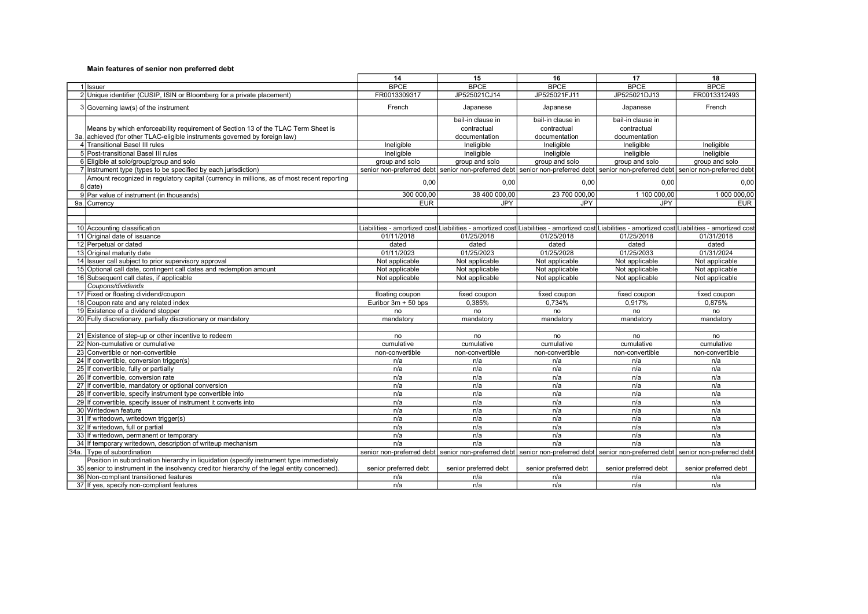|                                                                                                       | 14                    | 15                    | 16                    | 17                    | 18                                                                                                                                               |
|-------------------------------------------------------------------------------------------------------|-----------------------|-----------------------|-----------------------|-----------------------|--------------------------------------------------------------------------------------------------------------------------------------------------|
| 1 Ilssuer                                                                                             | <b>BPCE</b>           | <b>BPCE</b>           | <b>BPCE</b>           | <b>BPCE</b>           | <b>BPCE</b>                                                                                                                                      |
| 2 Unique identifier (CUSIP, ISIN or Bloomberg for a private placement)                                | FR0013309317          | JP525021CJ14          | JP525021FJ11          | JP525021DJ13          | FR0013312493                                                                                                                                     |
| 3 Governing law(s) of the instrument                                                                  | French                | Japanese              | Japanese              | Japanese              | French                                                                                                                                           |
|                                                                                                       |                       | bail-in clause in     | bail-in clause in     | bail-in clause in     |                                                                                                                                                  |
| Means by which enforceability requirement of Section 13 of the TLAC Term Sheet is                     |                       | contractual           | contractual           | contractual           |                                                                                                                                                  |
| 3a. achieved (for other TLAC-eligible instruments governed by foreign law)                            |                       | documentation         | documentation         | documentation         |                                                                                                                                                  |
| 4 Transitional Basel III rules                                                                        | Ineligible            | Ineligible            | Ineligible            | Ineligible            | Ineligible                                                                                                                                       |
| 5 Post-transitional Basel III rules                                                                   | Ineligible            | Ineligible            | Ineligible            | Ineligible            | Ineligible                                                                                                                                       |
| 6 Eligible at solo/group/group and solo                                                               | group and solo        | group and solo        | group and solo        | group and solo        | group and solo                                                                                                                                   |
| 7 Instrument type (types to be specified by each jurisdiction)                                        |                       |                       |                       |                       | senior non-preferred debt senior non-preferred debt senior non-preferred debt senior non-preferred debt senior non-preferred debt                |
| Amount recognized in regulatory capital (currency in millions, as of most recent reporting<br>8 date) | 0,00                  | 0,00                  | 0,00                  | 0,00                  | 0,00                                                                                                                                             |
| 9 Par value of instrument (in thousands)                                                              | 300 000,00            | 38 400 000,00         | 23 700 000,00         | 1 100 000,00          | 1 000 000,00                                                                                                                                     |
| 9a. Currency                                                                                          | <b>EUR</b>            | <b>JPY</b>            | JPY                   | <b>JPY</b>            | <b>EUR</b>                                                                                                                                       |
|                                                                                                       |                       |                       |                       |                       |                                                                                                                                                  |
|                                                                                                       |                       |                       |                       |                       |                                                                                                                                                  |
| 10 Accounting classification                                                                          |                       |                       |                       |                       | Liabilities - amortized cost Liabilities - amortized cost Liabilities - amortized cost Liabilities - amortized cost Liabilities - amortized cost |
| 11 Original date of issuance                                                                          | 01/11/2018            | 01/25/2018            | 01/25/2018            | 01/25/2018            | 01/31/2018                                                                                                                                       |
| 12 Perpetual or dated                                                                                 | dated                 | dated                 | dated                 | dated                 | dated                                                                                                                                            |
| 13 Original maturity date                                                                             | 01/11/2023            | 01/25/2023            | 01/25/2028            | 01/25/2033            | 01/31/2024                                                                                                                                       |
| 14 Issuer call subject to prior supervisory approval                                                  | Not applicable        | Not applicable        | Not applicable        | Not applicable        | Not applicable                                                                                                                                   |
| 15 Optional call date, contingent call dates and redemption amount                                    | Not applicable        | Not applicable        | Not applicable        | Not applicable        | Not applicable                                                                                                                                   |
| 16 Subsequent call dates, if applicable                                                               | Not applicable        | Not applicable        | Not applicable        | Not applicable        | Not applicable                                                                                                                                   |
| Coupons/dividends                                                                                     |                       |                       |                       |                       |                                                                                                                                                  |
| 17 Fixed or floating dividend/coupon                                                                  | floating coupon       | fixed coupon          | fixed coupon          | fixed coupon          | fixed coupon                                                                                                                                     |
| 18 Coupon rate and any related index                                                                  | Euribor $3m + 50$ bps | 0.385%                | 0.734%                | 0.917%                | 0.875%                                                                                                                                           |
| 19 Existence of a dividend stopper                                                                    | no                    | no                    | no                    | no                    | no                                                                                                                                               |
| 20 Fully discretionary, partially discretionary or mandatory                                          | mandatory             | mandatory             | mandatory             | mandatory             | mandatory                                                                                                                                        |
|                                                                                                       |                       |                       |                       |                       |                                                                                                                                                  |
| 21 Existence of step-up or other incentive to redeem                                                  | no                    | no                    | no                    | no                    | no                                                                                                                                               |
| 22 Non-cumulative or cumulative                                                                       | cumulative            | cumulative            | cumulative            | cumulative            | cumulative                                                                                                                                       |
| 23 Convertible or non-convertible                                                                     | non-convertible       | non-convertible       | non-convertible       | non-convertible       | non-convertible                                                                                                                                  |
| 24 If convertible, conversion trigger(s)                                                              | n/a                   | n/a                   | n/a                   | n/a                   | n/a                                                                                                                                              |
| 25 If convertible, fully or partially                                                                 | n/a                   | n/a                   | n/a                   | n/a                   | n/a                                                                                                                                              |
| 26 If convertible, conversion rate<br>27 If convertible, mandatory or optional conversion             | n/a                   | n/a                   | n/a                   | n/a                   | n/a                                                                                                                                              |
| 28 If convertible, specify instrument type convertible into                                           | n/a<br>n/a            | n/a<br>n/a            | n/a<br>n/a            | n/a<br>n/a            | n/a<br>n/a                                                                                                                                       |
| 29 If convertible, specify issuer of instrument it converts into                                      | n/a                   | n/a                   | n/a                   | n/a                   | n/a                                                                                                                                              |
| 30 Writedown feature                                                                                  | n/a                   | n/a                   | n/a                   | n/a                   | n/a                                                                                                                                              |
| 31 If writedown, writedown trigger(s)                                                                 | n/a                   | n/a                   | n/a                   | n/a                   | n/a                                                                                                                                              |
| 32 If writedown, full or partial                                                                      | n/a                   | n/a                   | n/a                   | n/a                   | n/a                                                                                                                                              |
| 33 If writedown, permanent or temporary                                                               | n/a                   | n/a                   | n/a                   | n/a                   | n/a                                                                                                                                              |
| 34 If temporary writedown, description of writeup mechanism                                           | n/a                   | n/a                   | n/a                   | n/a                   | n/a                                                                                                                                              |
| 34a. Type of subordination                                                                            |                       |                       |                       |                       | senior non-preferred debt senior non-preferred debt senior non-preferred debt senior non-preferred debt senior non-preferred debt                |
| Position in subordination hierarchy in liquidation (specify instrument type immediately               |                       |                       |                       |                       |                                                                                                                                                  |
| 35 senior to instrument in the insolvency creditor hierarchy of the legal entity concerned).          | senior preferred debt | senior preferred debt | senior preferred debt | senior preferred debt | senior preferred debt                                                                                                                            |
| 36 Non-compliant transitioned features                                                                | n/a                   | n/a                   | n/a                   | n/a                   | n/a                                                                                                                                              |
| 37 If yes, specify non-compliant features                                                             | n/a                   | n/a                   | n/a                   | n/a                   | n/a                                                                                                                                              |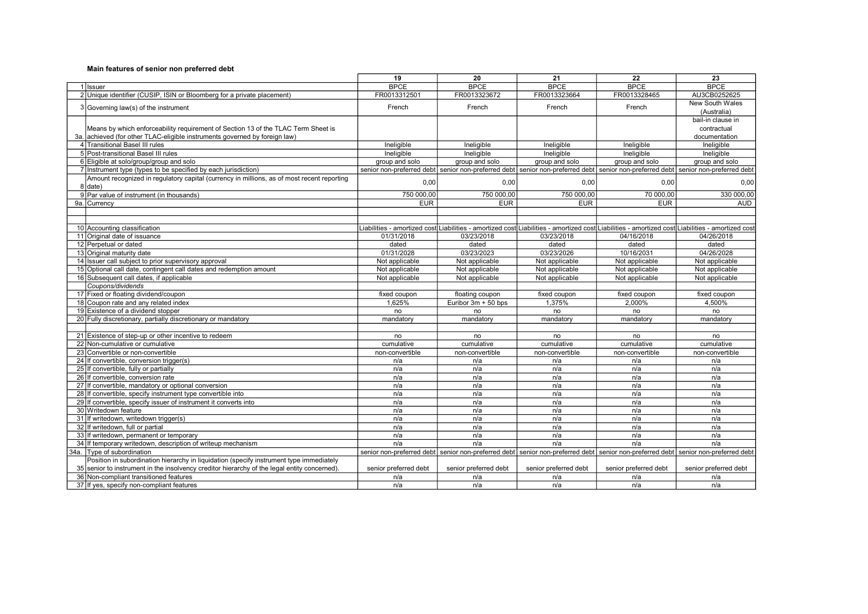|                                                                                                       | 19                    | 20                    | 21                                                                                                                                               | 22                    | 23                               |
|-------------------------------------------------------------------------------------------------------|-----------------------|-----------------------|--------------------------------------------------------------------------------------------------------------------------------------------------|-----------------------|----------------------------------|
| 1 Ilssuer                                                                                             | <b>BPCE</b>           | <b>BPCE</b>           | <b>BPCE</b>                                                                                                                                      | <b>BPCE</b>           | <b>BPCE</b>                      |
| 2 Unique identifier (CUSIP, ISIN or Bloomberg for a private placement)                                | FR0013312501          | FR0013323672          | FR0013323664                                                                                                                                     | FR0013328465          | AU3CB0252625                     |
| 3 Governing law(s) of the instrument                                                                  | French                | French                | French                                                                                                                                           | French                | New South Wales<br>(Australia)   |
| Means by which enforceability requirement of Section 13 of the TLAC Term Sheet is                     |                       |                       |                                                                                                                                                  |                       | bail-in clause in<br>contractual |
| 3a. achieved (for other TLAC-eligible instruments governed by foreign law)                            |                       |                       |                                                                                                                                                  |                       | documentation                    |
| 4 Transitional Basel III rules                                                                        | Ineligible            | Ineligible            | Ineligible                                                                                                                                       | Ineligible            | Ineligible                       |
| 5 Post-transitional Basel III rules                                                                   | Ineligible            | Ineligible            | Ineligible                                                                                                                                       | Ineligible            | Ineligible                       |
| 6 Eligible at solo/group/group and solo                                                               | group and solo        | group and solo        | group and solo                                                                                                                                   | group and solo        | group and solo                   |
| 7 Instrument type (types to be specified by each jurisdiction)                                        |                       |                       | senior non-preferred debt senior non-preferred debt senior non-preferred debt senior non-preferred debt senior non-preferred debt                |                       |                                  |
| Amount recognized in regulatory capital (currency in millions, as of most recent reporting<br>8 date) | 0,00                  | 0,00                  | 0,00                                                                                                                                             | 0.00                  | 0,00                             |
| 9 Par value of instrument (in thousands)                                                              | 750 000,00            | 750 000,00            | 750 000,00                                                                                                                                       | 70 000,00             | 330 000,00                       |
| 9a. Currency                                                                                          | <b>EUR</b>            | <b>EUR</b>            | <b>EUR</b>                                                                                                                                       | <b>EUR</b>            | <b>AUD</b>                       |
|                                                                                                       |                       |                       |                                                                                                                                                  |                       |                                  |
|                                                                                                       |                       |                       |                                                                                                                                                  |                       |                                  |
| 10 Accounting classification                                                                          |                       |                       | Liabilities - amortized cost∣Liabilities - amortized cost∣Liabilities - amortized cost∣Liabilities - amortized cost∣Liabilities - amortized cost |                       |                                  |
| 11 Original date of issuance                                                                          | 01/31/2018            | 03/23/2018            | 03/23/2018                                                                                                                                       | 04/16/2018            | 04/26/2018                       |
| 12 Perpetual or dated                                                                                 | dated                 | dated                 | dated                                                                                                                                            | dated                 | dated                            |
| 13 Original maturity date                                                                             | 01/31/2028            | 03/23/2023            | 03/23/2026                                                                                                                                       | 10/16/2031            | 04/26/2028                       |
| 14 Issuer call subject to prior supervisory approval                                                  | Not applicable        | Not applicable        | Not applicable                                                                                                                                   | Not applicable        | Not applicable                   |
| 15 Optional call date, contingent call dates and redemption amount                                    | Not applicable        | Not applicable        | Not applicable                                                                                                                                   | Not applicable        | Not applicable                   |
| 16 Subsequent call dates, if applicable                                                               | Not applicable        | Not applicable        | Not applicable                                                                                                                                   | Not applicable        | Not applicable                   |
| Coupons/dividends                                                                                     |                       |                       |                                                                                                                                                  |                       |                                  |
| 17 Fixed or floating dividend/coupon                                                                  | fixed coupon          | floating coupon       | fixed coupon                                                                                                                                     | fixed coupon          | fixed coupon                     |
| 18 Coupon rate and any related index                                                                  | 1,625%                | Euribor 3m + 50 bps   | 1,375%                                                                                                                                           | 2.000%                | 4,500%                           |
| 19 Existence of a dividend stopper                                                                    | no                    | no                    | no                                                                                                                                               | no                    | no                               |
| 20 Fully discretionary, partially discretionary or mandatory                                          | mandatory             | mandatory             | mandatory                                                                                                                                        | mandatory             | mandatory                        |
|                                                                                                       |                       |                       |                                                                                                                                                  |                       |                                  |
| 21 Existence of step-up or other incentive to redeem                                                  | no                    | no                    | no                                                                                                                                               | no                    | no                               |
| 22 Non-cumulative or cumulative                                                                       | cumulative            | cumulative            | cumulative                                                                                                                                       | cumulative            | cumulative                       |
| 23 Convertible or non-convertible                                                                     | non-convertible       | non-convertible       | non-convertible                                                                                                                                  | non-convertible       | non-convertible                  |
| 24 If convertible, conversion trigger(s)                                                              | n/a                   | n/a                   | n/a                                                                                                                                              | n/a                   | n/a                              |
| 25 If convertible, fully or partially                                                                 | n/a                   | n/a                   | n/a                                                                                                                                              | n/a                   | n/a                              |
| 26 If convertible, conversion rate                                                                    | n/a                   | n/a                   | n/a                                                                                                                                              | n/a                   | n/a                              |
| 27 If convertible, mandatory or optional conversion                                                   | n/a                   | n/a                   | n/a                                                                                                                                              | n/a                   | n/a                              |
| 28 If convertible, specify instrument type convertible into                                           | n/a                   | n/a                   | n/a                                                                                                                                              | n/a                   | n/a                              |
| 29 If convertible, specify issuer of instrument it converts into                                      | n/a                   | n/a                   | n/a                                                                                                                                              | n/a                   | n/a                              |
| 30 Writedown feature                                                                                  | n/a                   | n/a                   | n/a                                                                                                                                              | n/a                   | n/a                              |
| 31 If writedown, writedown trigger(s)                                                                 | n/a                   | n/a                   | n/a                                                                                                                                              | n/a                   | n/a                              |
| 32 If writedown, full or partial                                                                      | n/a                   | n/a                   | n/a                                                                                                                                              | n/a                   | n/a                              |
| 33 If writedown, permanent or temporary                                                               | n/a                   | n/a                   | n/a                                                                                                                                              | n/a                   | n/a                              |
| 34 If temporary writedown, description of writeup mechanism                                           | n/a                   | n/a                   | n/a                                                                                                                                              | n/a                   | n/a                              |
| 34a. Type of subordination                                                                            |                       |                       | senior non-preferred debt senior non-preferred debt senior non-preferred debt senior non-preferred debt senior non-preferred debt                |                       |                                  |
| Position in subordination hierarchy in liquidation (specify instrument type immediately               |                       |                       |                                                                                                                                                  |                       |                                  |
| 35 senior to instrument in the insolvency creditor hierarchy of the legal entity concerned).          | senior preferred debt | senior preferred debt | senior preferred debt                                                                                                                            | senior preferred debt | senior preferred debt            |
| 36 Non-compliant transitioned features                                                                | n/a                   | n/a                   | n/a                                                                                                                                              | n/a                   | n/a                              |
| 37 If yes, specify non-compliant features                                                             | n/a                   | n/a                   | n/a                                                                                                                                              | n/a                   | n/a                              |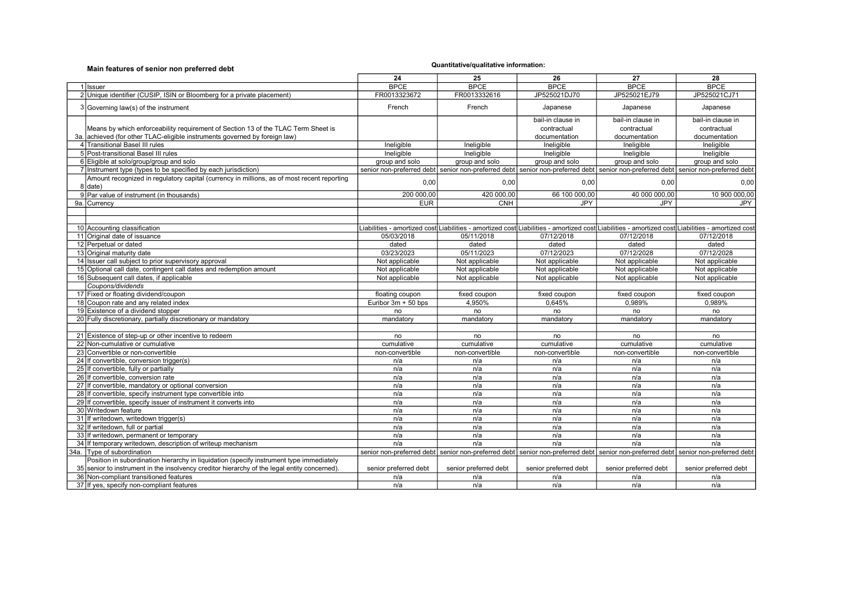| Main features of senior non preferred debt                                                                                                                                              | Quantitative/qualitative information: |                                                                                                         |                       |                       |                                                                                                                                                  |
|-----------------------------------------------------------------------------------------------------------------------------------------------------------------------------------------|---------------------------------------|---------------------------------------------------------------------------------------------------------|-----------------------|-----------------------|--------------------------------------------------------------------------------------------------------------------------------------------------|
|                                                                                                                                                                                         | 24                                    | 25                                                                                                      | 26                    | 27                    | 28                                                                                                                                               |
| 1 Issuer                                                                                                                                                                                | <b>BPCE</b>                           | <b>BPCE</b>                                                                                             | <b>BPCE</b>           | <b>BPCE</b>           | <b>BPCE</b>                                                                                                                                      |
| 2 Unique identifier (CUSIP, ISIN or Bloomberg for a private placement)                                                                                                                  | FR0013323672                          | FR0013332616                                                                                            | JP525021DJ70          | JP525021EJ79          | JP525021CJ71                                                                                                                                     |
| 3 Governing law(s) of the instrument                                                                                                                                                    | French                                | French                                                                                                  | Japanese              | Japanese              | Japanese                                                                                                                                         |
|                                                                                                                                                                                         |                                       |                                                                                                         | bail-in clause in     | bail-in clause in     | bail-in clause in                                                                                                                                |
| Means by which enforceability requirement of Section 13 of the TLAC Term Sheet is                                                                                                       |                                       |                                                                                                         | contractual           | contractual           | contractual                                                                                                                                      |
| 3a. achieved (for other TLAC-eligible instruments governed by foreign law)                                                                                                              |                                       |                                                                                                         | documentation         | documentation         | documentation                                                                                                                                    |
| 4 Transitional Basel III rules                                                                                                                                                          | Ineligible                            | Ineligible                                                                                              | Ineligible            | Ineligible            | Ineligible                                                                                                                                       |
| 5 Post-transitional Basel III rules                                                                                                                                                     | Ineligible                            | Ineligible                                                                                              | Ineligible            | Ineligible            | Ineligible                                                                                                                                       |
| 6 Eligible at solo/group/group and solo                                                                                                                                                 | group and solo                        | group and solo                                                                                          | group and solo        | group and solo        | group and solo                                                                                                                                   |
| 7 Instrument type (types to be specified by each jurisdiction)                                                                                                                          |                                       |                                                                                                         |                       |                       | senior non-preferred debt senior non-preferred debt senior non-preferred debt senior non-preferred debt senior non-preferred debt                |
| Amount recognized in regulatory capital (currency in millions, as of most recent reporting<br>8 date)                                                                                   | 0,00                                  | 0.00                                                                                                    | 0,00                  | 0.00                  | 0,00                                                                                                                                             |
| 9 Par value of instrument (in thousands)                                                                                                                                                | 200 000.00                            | 420 000,00                                                                                              | 66 100 000,00         | 40 000 000,00         | 10 900 000.00                                                                                                                                    |
| 9a. Currency                                                                                                                                                                            | <b>EUR</b>                            | <b>CNH</b>                                                                                              | <b>JPY</b>            | <b>JPY</b>            | <b>JPY</b>                                                                                                                                       |
|                                                                                                                                                                                         |                                       |                                                                                                         |                       |                       |                                                                                                                                                  |
|                                                                                                                                                                                         |                                       |                                                                                                         |                       |                       |                                                                                                                                                  |
| 10 Accounting classification                                                                                                                                                            |                                       |                                                                                                         |                       |                       | Liabilities - amortized cost∣Liabilities - amortized cost∣Liabilities - amortized cost∣Liabilities - amortized cost∣Liabilities - amortized cost |
| 11 Original date of issuance                                                                                                                                                            | 05/03/2018                            | 05/11/2018                                                                                              | 07/12/2018            | 07/12/2018            | 07/12/2018                                                                                                                                       |
| 12 Perpetual or dated                                                                                                                                                                   | dated                                 | dated                                                                                                   | dated                 | dated                 | dated                                                                                                                                            |
| 13 Original maturity date                                                                                                                                                               | 03/23/2023                            | 05/11/2023                                                                                              | 07/12/2023            | 07/12/2028            | 07/12/2028                                                                                                                                       |
| 14 Issuer call subject to prior supervisory approval                                                                                                                                    | Not applicable                        | Not applicable                                                                                          | Not applicable        | Not applicable        | Not applicable                                                                                                                                   |
| 15 Optional call date, contingent call dates and redemption amount                                                                                                                      | Not applicable                        | Not applicable                                                                                          | Not applicable        | Not applicable        | Not applicable                                                                                                                                   |
| 16 Subsequent call dates, if applicable                                                                                                                                                 | Not applicable                        | Not applicable                                                                                          | Not applicable        | Not applicable        | Not applicable                                                                                                                                   |
| Coupons/dividends                                                                                                                                                                       |                                       |                                                                                                         |                       |                       |                                                                                                                                                  |
| 17 Fixed or floating dividend/coupon                                                                                                                                                    | floating coupon                       | fixed coupon                                                                                            | fixed coupon          | fixed coupon          | fixed coupon                                                                                                                                     |
| 18 Coupon rate and any related index                                                                                                                                                    | Euribor 3m + 50 bps                   | 4,950%                                                                                                  | 0.645%                | 0.989%                | 0,989%                                                                                                                                           |
| 19 Existence of a dividend stopper                                                                                                                                                      | no                                    | no                                                                                                      | no                    | no                    | no                                                                                                                                               |
| 20 Fully discretionary, partially discretionary or mandatory                                                                                                                            | mandatory                             | mandatory                                                                                               | mandatory             | mandatory             | mandatory                                                                                                                                        |
|                                                                                                                                                                                         |                                       |                                                                                                         |                       |                       |                                                                                                                                                  |
| 21 Existence of step-up or other incentive to redeem                                                                                                                                    | no                                    | no                                                                                                      | no                    | no                    | no                                                                                                                                               |
| 22 Non-cumulative or cumulative                                                                                                                                                         | cumulative                            | cumulative                                                                                              | cumulative            | cumulative            | cumulative                                                                                                                                       |
| 23 Convertible or non-convertible                                                                                                                                                       | non-convertible                       | non-convertible                                                                                         | non-convertible       | non-convertible       | non-convertible                                                                                                                                  |
| 24 If convertible, conversion trigger(s)                                                                                                                                                | n/a                                   | n/a                                                                                                     | n/a                   | n/a                   | n/a                                                                                                                                              |
| 25 If convertible, fully or partially                                                                                                                                                   | n/a                                   | n/a                                                                                                     | n/a                   | n/a                   | n/a                                                                                                                                              |
| 26 If convertible, conversion rate                                                                                                                                                      | n/a                                   | n/a                                                                                                     | n/a                   | n/a                   | n/a                                                                                                                                              |
| 27 If convertible, mandatory or optional conversion                                                                                                                                     | n/a                                   | n/a                                                                                                     | n/a                   | n/a                   | n/a                                                                                                                                              |
| 28 If convertible, specify instrument type convertible into                                                                                                                             | n/a                                   | n/a                                                                                                     | n/a                   | n/a                   | n/a                                                                                                                                              |
| 29 If convertible, specify issuer of instrument it converts into                                                                                                                        | n/a                                   | n/a                                                                                                     | n/a                   | n/a                   | n/a                                                                                                                                              |
| 30 Writedown feature                                                                                                                                                                    | n/a                                   | n/a                                                                                                     | n/a                   | n/a                   | n/a                                                                                                                                              |
| 31 If writedown, writedown trigger(s)                                                                                                                                                   | n/a                                   | n/a                                                                                                     | n/a                   | n/a                   | n/a                                                                                                                                              |
| 32 If writedown, full or partial                                                                                                                                                        | n/a                                   | n/a                                                                                                     | n/a                   | n/a                   | n/a                                                                                                                                              |
| 33 If writedown, permanent or temporary                                                                                                                                                 | n/a                                   | n/a                                                                                                     | n/a                   | n/a                   | n/a                                                                                                                                              |
| 34 If temporary writedown, description of writeup mechanism                                                                                                                             | n/a                                   | n/a                                                                                                     | n/a                   | n/a                   | n/a                                                                                                                                              |
| 34a. Type of subordination                                                                                                                                                              |                                       | senior non-preferred debt senior non-preferred debt senior non-preferred debt senior non-preferred debt |                       |                       | senior non-preferred debt                                                                                                                        |
| Position in subordination hierarchy in liquidation (specify instrument type immediately<br>35 senior to instrument in the insolvency creditor hierarchy of the legal entity concerned). | senior preferred debt                 | senior preferred debt                                                                                   | senior preferred debt | senior preferred debt | senior preferred debt                                                                                                                            |
| 36 Non-compliant transitioned features                                                                                                                                                  | n/a                                   | n/a                                                                                                     | n/a                   | n/a                   | n/a                                                                                                                                              |
| 37 If yes, specify non-compliant features                                                                                                                                               | n/a                                   | n/a                                                                                                     | n/a                   | n/a                   | n/a                                                                                                                                              |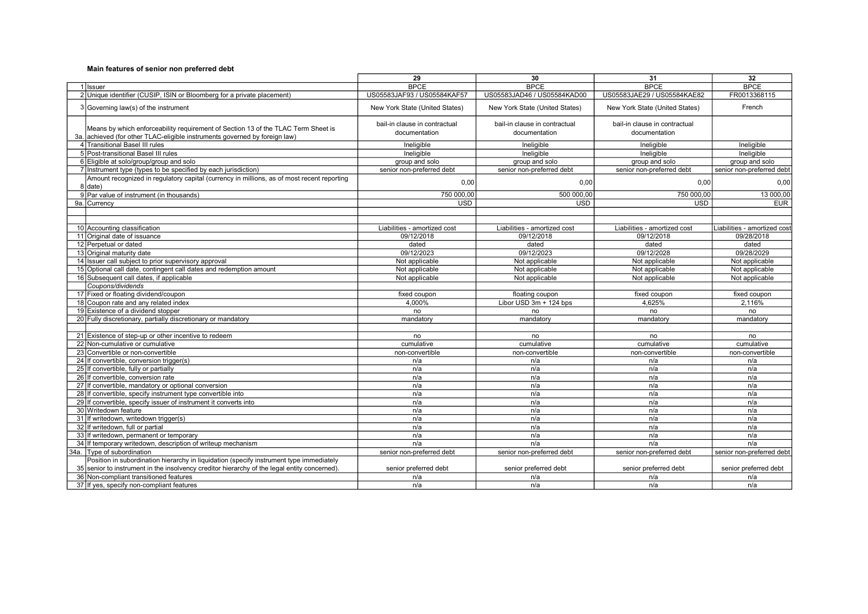|                                                                                                                                                                 | 29                                             | 30                                             | 31                                             | 32                           |
|-----------------------------------------------------------------------------------------------------------------------------------------------------------------|------------------------------------------------|------------------------------------------------|------------------------------------------------|------------------------------|
| 1 Issuer                                                                                                                                                        | <b>BPCE</b>                                    | <b>BPCE</b>                                    | <b>BPCE</b>                                    | <b>BPCE</b>                  |
| 2 Unique identifier (CUSIP, ISIN or Bloomberg for a private placement)                                                                                          | US05583JAF93 / US05584KAF57                    | US05583JAD46 / US05584KAD00                    | US05583JAE29 / US05584KAE82                    | FR0013368115                 |
| 3 Governing law(s) of the instrument                                                                                                                            | New York State (United States)                 | New York State (United States)                 | New York State (United States)                 | French                       |
| Means by which enforceability requirement of Section 13 of the TLAC Term Sheet is<br>3a. achieved (for other TLAC-eligible instruments governed by foreign law) | bail-in clause in contractual<br>documentation | bail-in clause in contractual<br>documentation | bail-in clause in contractual<br>documentation |                              |
| 4 Transitional Basel III rules                                                                                                                                  | Ineligible                                     | Ineligible                                     | Ineligible                                     | Ineligible                   |
| 5 Post-transitional Basel III rules                                                                                                                             | Ineligible                                     | Ineligible                                     | Ineligible                                     | Ineligible                   |
| 6 Eligible at solo/group/group and solo                                                                                                                         | group and solo                                 | group and solo                                 | group and solo                                 | group and solo               |
| 7 Instrument type (types to be specified by each jurisdiction)                                                                                                  | senior non-preferred debt                      | senior non-preferred debt                      | senior non-preferred debt                      | senior non-preferred debt    |
| Amount recognized in regulatory capital (currency in millions, as of most recent reporting<br>8 date)                                                           | 0,00                                           | 0,00                                           | 0,00                                           | 0,00                         |
| 9 Par value of instrument (in thousands)                                                                                                                        | 750 000.00                                     | 500 000.00                                     | 750 000.00                                     | 13 000,00                    |
| 9a. Currency                                                                                                                                                    | <b>USD</b>                                     | <b>USD</b>                                     | <b>USD</b>                                     | <b>EUR</b>                   |
|                                                                                                                                                                 |                                                |                                                |                                                |                              |
|                                                                                                                                                                 |                                                |                                                |                                                |                              |
| 10 Accounting classification                                                                                                                                    | Liabilities - amortized cost                   | Liabilities - amortized cost                   | Liabilities - amortized cost                   | Liabilities - amortized cost |
| 11 Original date of issuance                                                                                                                                    | 09/12/2018                                     | 09/12/2018                                     | 09/12/2018                                     | 09/28/2018                   |
| 12 Perpetual or dated                                                                                                                                           | dated                                          | dated                                          | dated                                          | dated                        |
| 13 Original maturity date                                                                                                                                       | 09/12/2023                                     | 09/12/2023                                     | 09/12/2028                                     | 09/28/2029                   |
| 14 Issuer call subject to prior supervisory approval                                                                                                            | Not applicable                                 | Not applicable                                 | Not applicable                                 | Not applicable               |
| 15 Optional call date, contingent call dates and redemption amount                                                                                              | Not applicable                                 | Not applicable                                 | Not applicable                                 | Not applicable               |
| 16 Subsequent call dates, if applicable                                                                                                                         | Not applicable                                 | Not applicable                                 | Not applicable                                 | Not applicable               |
| Coupons/dividends                                                                                                                                               |                                                |                                                |                                                |                              |
| 17 Fixed or floating dividend/coupon                                                                                                                            | fixed coupon                                   | floating coupon                                | fixed coupon                                   | fixed coupon                 |
| 18 Coupon rate and any related index                                                                                                                            | 4.000%                                         | Libor USD 3m + 124 bps                         | 4.625%                                         | 2.116%                       |
| 19 Existence of a dividend stopper                                                                                                                              | no                                             | no                                             | no                                             | no                           |
| 20 Fully discretionary, partially discretionary or mandatory                                                                                                    | mandatory                                      | mandatory                                      | mandatory                                      | mandatory                    |
|                                                                                                                                                                 |                                                |                                                |                                                |                              |
| 21 Existence of step-up or other incentive to redeem                                                                                                            | no                                             | no                                             | no                                             | no                           |
| 22 Non-cumulative or cumulative                                                                                                                                 | cumulative                                     | cumulative                                     | cumulative                                     | cumulative                   |
| 23 Convertible or non-convertible                                                                                                                               | non-convertible                                | non-convertible                                | non-convertible                                | non-convertible              |
| 24 If convertible, conversion trigger(s)                                                                                                                        | n/a                                            | n/a                                            | n/a                                            | n/a                          |
| 25 If convertible, fully or partially                                                                                                                           | n/a                                            | n/a                                            | n/a                                            | n/a                          |
| 26 If convertible, conversion rate                                                                                                                              | n/a                                            | n/a                                            | n/a                                            | n/a                          |
| 27 If convertible, mandatory or optional conversion                                                                                                             | n/a                                            | n/a                                            | n/a                                            | n/a                          |
| 28 If convertible, specify instrument type convertible into                                                                                                     | n/a                                            | n/a                                            | n/a                                            | n/a                          |
| 29 If convertible, specify issuer of instrument it converts into                                                                                                | n/a                                            | n/a                                            | n/a                                            | n/a                          |
| 30 Writedown feature                                                                                                                                            | n/a                                            | n/a                                            | n/a                                            | n/a                          |
| 31 If writedown, writedown trigger(s)                                                                                                                           | n/a                                            | n/a                                            | n/a                                            | n/a                          |
| 32 If writedown, full or partial                                                                                                                                | n/a                                            | n/a                                            | n/a                                            | n/a                          |
| 33 If writedown, permanent or temporary                                                                                                                         | n/a                                            | n/a                                            | n/a                                            | n/a                          |
| 34 If temporary writedown, description of writeup mechanism                                                                                                     | n/a                                            | n/a                                            | n/a                                            | n/a                          |
| 34a. Type of subordination                                                                                                                                      | senior non-preferred debt                      | senior non-preferred debt                      | senior non-preferred debt                      | senior non-preferred debt    |
| Position in subordination hierarchy in liquidation (specify instrument type immediately                                                                         |                                                |                                                |                                                |                              |
| 35 senior to instrument in the insolvency creditor hierarchy of the legal entity concerned).                                                                    | senior preferred debt                          | senior preferred debt                          | senior preferred debt                          | senior preferred debt        |
| 36 Non-compliant transitioned features                                                                                                                          | n/a                                            | n/a                                            | n/a                                            | n/a                          |
| 37 If yes, specify non-compliant features                                                                                                                       | n/a                                            | n/a                                            | n/a                                            | n/a                          |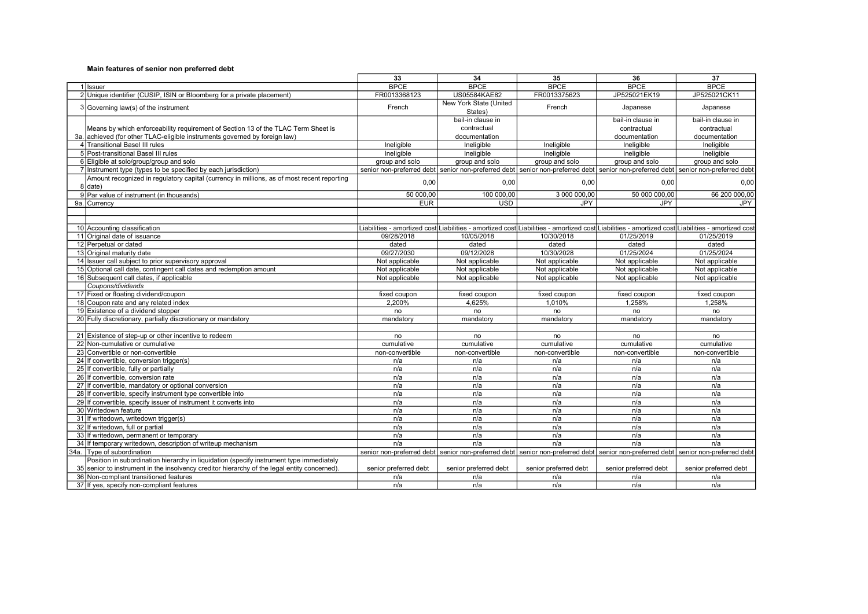|                                                                                                                                                                                         | 33                    | 34                                | 35                                                                                                                                               | 36                    | 37                    |
|-----------------------------------------------------------------------------------------------------------------------------------------------------------------------------------------|-----------------------|-----------------------------------|--------------------------------------------------------------------------------------------------------------------------------------------------|-----------------------|-----------------------|
| 1 Ilssuer                                                                                                                                                                               | <b>BPCE</b>           | <b>BPCE</b>                       | <b>BPCE</b>                                                                                                                                      | <b>BPCE</b>           | <b>BPCE</b>           |
| 2 Unique identifier (CUSIP, ISIN or Bloomberg for a private placement)                                                                                                                  | FR0013368123          | US05584KAE82                      | FR0013375623                                                                                                                                     | JP525021EK19          | JP525021CK11          |
| 3 Governing law(s) of the instrument                                                                                                                                                    | French                | New York State (United<br>States) | French                                                                                                                                           | Japanese              | Japanese              |
|                                                                                                                                                                                         |                       | bail-in clause in                 |                                                                                                                                                  | bail-in clause in     | bail-in clause in     |
| Means by which enforceability requirement of Section 13 of the TLAC Term Sheet is                                                                                                       |                       | contractual                       |                                                                                                                                                  | contractual           | contractual           |
| 3a. achieved (for other TLAC-eligible instruments governed by foreign law)                                                                                                              |                       | documentation                     |                                                                                                                                                  | documentation         | documentation         |
| 4 Transitional Basel III rules                                                                                                                                                          | Ineligible            | Ineligible                        | Ineligible                                                                                                                                       | Ineligible            | Ineligible            |
| 5 Post-transitional Basel III rules                                                                                                                                                     | Ineligible            | Ineligible                        | Ineligible                                                                                                                                       | Ineligible            | Ineligible            |
| 6 Eligible at solo/group/group and solo                                                                                                                                                 | group and solo        | group and solo                    | group and solo                                                                                                                                   | group and solo        | group and solo        |
| 7 Instrument type (types to be specified by each jurisdiction)                                                                                                                          |                       |                                   | senior non-preferred debt senior non-preferred debt senior non-preferred debt senior non-preferred debt senior non-preferred debt                |                       |                       |
| Amount recognized in regulatory capital (currency in millions, as of most recent reporting<br>8 date)                                                                                   | 0,00                  | 0,00                              | 0,00                                                                                                                                             | 0.00                  | 0,00                  |
| 9 Par value of instrument (in thousands)                                                                                                                                                | 50 000,00             | 100 000,00                        | 3 000 000,00                                                                                                                                     | 50 000 000,00         | 66 200 000,00         |
| 9a. Currency                                                                                                                                                                            | <b>EUR</b>            | <b>USD</b>                        | <b>JPY</b>                                                                                                                                       | <b>JPY</b>            | JPY                   |
|                                                                                                                                                                                         |                       |                                   |                                                                                                                                                  |                       |                       |
|                                                                                                                                                                                         |                       |                                   |                                                                                                                                                  |                       |                       |
| 10 Accounting classification                                                                                                                                                            |                       |                                   | Liabilities - amortized cost∣Liabilities - amortized cost∣Liabilities - amortized cost∣Liabilities - amortized cost∣Liabilities - amortized cost |                       |                       |
| 11 Original date of issuance                                                                                                                                                            | 09/28/2018            | 10/05/2018                        | 10/30/2018                                                                                                                                       | 01/25/2019            | 01/25/2019            |
| 12 Perpetual or dated                                                                                                                                                                   | dated                 | dated                             | dated                                                                                                                                            | dated                 | dated                 |
| 13 Original maturity date                                                                                                                                                               | 09/27/2030            | 09/12/2028                        | 10/30/2028                                                                                                                                       | 01/25/2024            | 01/25/2024            |
| 14 Issuer call subject to prior supervisory approval                                                                                                                                    | Not applicable        | Not applicable                    | Not applicable                                                                                                                                   | Not applicable        | Not applicable        |
| 15 Optional call date, contingent call dates and redemption amount                                                                                                                      | Not applicable        | Not applicable                    | Not applicable                                                                                                                                   | Not applicable        | Not applicable        |
| 16 Subsequent call dates, if applicable                                                                                                                                                 | Not applicable        | Not applicable                    | Not applicable                                                                                                                                   | Not applicable        | Not applicable        |
| Coupons/dividends                                                                                                                                                                       |                       |                                   |                                                                                                                                                  |                       |                       |
| 17 Fixed or floating dividend/coupon                                                                                                                                                    | fixed coupon          | fixed coupon                      | fixed coupon                                                                                                                                     | fixed coupon          | fixed coupon          |
| 18 Coupon rate and any related index                                                                                                                                                    | 2,200%                | 4,625%                            | 1,010%                                                                                                                                           | 1,258%                | 1,258%                |
| 19 Existence of a dividend stopper                                                                                                                                                      | no                    | no                                | no                                                                                                                                               | no                    | no                    |
| 20 Fully discretionary, partially discretionary or mandatory                                                                                                                            | mandatory             | mandatory                         | mandatory                                                                                                                                        | mandatory             | mandatory             |
|                                                                                                                                                                                         |                       |                                   |                                                                                                                                                  |                       |                       |
| 21 Existence of step-up or other incentive to redeem                                                                                                                                    | no                    | no                                | no                                                                                                                                               | no                    | no                    |
| 22 Non-cumulative or cumulative                                                                                                                                                         | cumulative            | cumulative                        | cumulative                                                                                                                                       | cumulative            | cumulative            |
| 23 Convertible or non-convertible                                                                                                                                                       | non-convertible       | non-convertible                   | non-convertible                                                                                                                                  | non-convertible       | non-convertible       |
| 24 If convertible, conversion trigger(s)                                                                                                                                                | n/a                   | n/a                               | n/a                                                                                                                                              | n/a                   | n/a                   |
| 25 If convertible, fully or partially                                                                                                                                                   | n/a                   | n/a                               | n/a                                                                                                                                              | n/a                   | n/a                   |
| 26 If convertible, conversion rate                                                                                                                                                      | n/a                   | n/a                               | n/a                                                                                                                                              | n/a                   | n/a                   |
| 27 If convertible, mandatory or optional conversion                                                                                                                                     | n/a                   | n/a                               | n/a                                                                                                                                              | n/a                   | n/a                   |
| 28 If convertible, specify instrument type convertible into                                                                                                                             | n/a                   | n/a                               | n/a                                                                                                                                              | n/a                   | n/a                   |
| 29 If convertible, specify issuer of instrument it converts into                                                                                                                        | n/a                   | n/a                               | n/a                                                                                                                                              | n/a                   | n/a                   |
| 30 Writedown feature                                                                                                                                                                    | n/a                   | n/a                               | n/a                                                                                                                                              | n/a                   | n/a                   |
| 31 If writedown, writedown trigger(s)                                                                                                                                                   | n/a                   | n/a                               | n/a                                                                                                                                              | n/a                   | n/a                   |
| 32 If writedown, full or partial                                                                                                                                                        | n/a                   | n/a                               | n/a                                                                                                                                              | n/a                   | n/a                   |
| 33 If writedown, permanent or temporary                                                                                                                                                 | n/a                   | n/a                               | n/a                                                                                                                                              | n/a                   | n/a                   |
| 34 If temporary writedown, description of writeup mechanism                                                                                                                             | n/a                   | n/a                               | n/a                                                                                                                                              | n/a                   | n/a                   |
| 34a. Type of subordination                                                                                                                                                              |                       |                                   | senior non-preferred debt senior non-preferred debt senior non-preferred debt senior non-preferred debt senior non-preferred debt                |                       |                       |
| Position in subordination hierarchy in liquidation (specify instrument type immediately<br>35 senior to instrument in the insolvency creditor hierarchy of the legal entity concerned). | senior preferred debt | senior preferred debt             | senior preferred debt                                                                                                                            | senior preferred debt | senior preferred debt |
| 36 Non-compliant transitioned features                                                                                                                                                  | n/a                   | n/a                               | n/a                                                                                                                                              | n/a                   | n/a                   |
| 37 If yes, specify non-compliant features                                                                                                                                               | n/a                   | n/a                               | n/a                                                                                                                                              | n/a                   | n/a                   |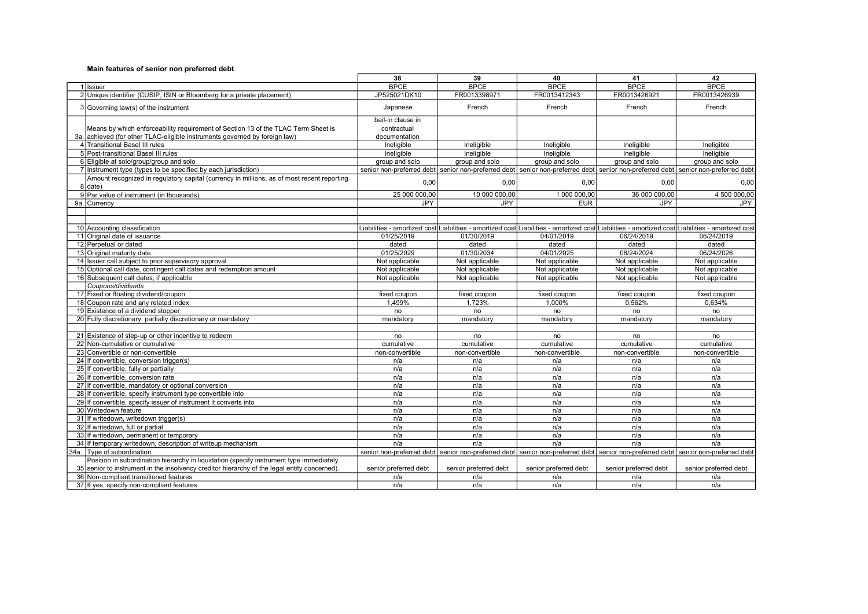|                                                                                                                                                                                         | 38                    | 39                    | 40                                                                                                                                               | 41                    | 42                    |
|-----------------------------------------------------------------------------------------------------------------------------------------------------------------------------------------|-----------------------|-----------------------|--------------------------------------------------------------------------------------------------------------------------------------------------|-----------------------|-----------------------|
| 1 Issuer                                                                                                                                                                                | <b>BPCE</b>           | <b>BPCE</b>           | <b>BPCE</b>                                                                                                                                      | <b>BPCE</b>           | <b>BPCE</b>           |
| 2 Unique identifier (CUSIP, ISIN or Bloomberg for a private placement)                                                                                                                  | JP525021DK10          | FR0013398971          | FR0013412343                                                                                                                                     | FR0013426921          | FR0013426939          |
| 3 Governing law(s) of the instrument                                                                                                                                                    | Japanese              | French                | French                                                                                                                                           | French                | French                |
|                                                                                                                                                                                         | bail-in clause in     |                       |                                                                                                                                                  |                       |                       |
| Means by which enforceability requirement of Section 13 of the TLAC Term Sheet is                                                                                                       | contractual           |                       |                                                                                                                                                  |                       |                       |
| 3a. achieved (for other TLAC-eligible instruments governed by foreign law)                                                                                                              | documentation         |                       |                                                                                                                                                  |                       |                       |
| 4 Transitional Basel III rules                                                                                                                                                          | Ineligible            | Ineligible            | Ineligible                                                                                                                                       | Ineligible            | Ineligible            |
| 5 Post-transitional Basel III rules                                                                                                                                                     | Ineligible            | Ineligible            | Ineligible                                                                                                                                       | Ineligible            | Ineligible            |
| 6 Eligible at solo/group/group and solo                                                                                                                                                 | group and solo        | group and solo        | group and solo                                                                                                                                   | group and solo        | group and solo        |
| 7 Instrument type (types to be specified by each jurisdiction)                                                                                                                          |                       |                       | senior non-preferred debt senior non-preferred debt senior non-preferred debt senior non-preferred debt senior non-preferred debt                |                       |                       |
| Amount recognized in regulatory capital (currency in millions, as of most recent reporting<br>8 date)                                                                                   | 0.00                  | 0,00                  | 0,00                                                                                                                                             | 0.00                  | 0,00                  |
| 9 Par value of instrument (in thousands)                                                                                                                                                | 25 000 000,00         | 10 000 000,00         | 1 000 000,00                                                                                                                                     | 36 000 000,00         | 4 500 000,00          |
| 9a. Currency                                                                                                                                                                            | JPY                   | <b>JPY</b>            | <b>EUR</b>                                                                                                                                       | <b>JPY</b>            | JPY                   |
|                                                                                                                                                                                         |                       |                       |                                                                                                                                                  |                       |                       |
|                                                                                                                                                                                         |                       |                       |                                                                                                                                                  |                       |                       |
| 10 Accounting classification                                                                                                                                                            |                       |                       | Liabilities - amortized cost∣Liabilities - amortized cost∣Liabilities - amortized cost∣Liabilities - amortized cost∣Liabilities - amortized cost |                       |                       |
| 11 Original date of issuance                                                                                                                                                            | 01/25/2019            | 01/30/2019            | 04/01/2019                                                                                                                                       | 06/24/2019            | 06/24/2019            |
| 12 Perpetual or dated                                                                                                                                                                   | dated                 | dated                 | dated                                                                                                                                            | dated                 | dated                 |
| 13 Original maturity date                                                                                                                                                               | 01/25/2029            | 01/30/2034            | 04/01/2025                                                                                                                                       | 06/24/2024            | 06/24/2026            |
| 14 Issuer call subject to prior supervisory approval                                                                                                                                    | Not applicable        | Not applicable        | Not applicable                                                                                                                                   | Not applicable        | Not applicable        |
| 15 Optional call date, contingent call dates and redemption amount                                                                                                                      | Not applicable        | Not applicable        | Not applicable                                                                                                                                   | Not applicable        | Not applicable        |
| 16 Subsequent call dates, if applicable                                                                                                                                                 | Not applicable        | Not applicable        | Not applicable                                                                                                                                   | Not applicable        | Not applicable        |
| Coupons/dividends                                                                                                                                                                       |                       |                       |                                                                                                                                                  |                       |                       |
| 17 Fixed or floating dividend/coupon                                                                                                                                                    | fixed coupon          | fixed coupon          | fixed coupon                                                                                                                                     | fixed coupon          | fixed coupon          |
| 18 Coupon rate and any related index                                                                                                                                                    | 1.499%                | 1.723%                | 1.000%                                                                                                                                           | 0.562%                | 0.634%                |
| 19 Existence of a dividend stopper                                                                                                                                                      | no                    | no                    | no                                                                                                                                               | no                    | no                    |
| 20 Fully discretionary, partially discretionary or mandatory                                                                                                                            | mandatory             | mandatory             | mandatory                                                                                                                                        | mandatory             | mandatory             |
|                                                                                                                                                                                         |                       |                       |                                                                                                                                                  |                       |                       |
| 21 Existence of step-up or other incentive to redeem                                                                                                                                    | no                    | no                    | no                                                                                                                                               | no                    | no                    |
| 22 Non-cumulative or cumulative                                                                                                                                                         | cumulative            | cumulative            | cumulative                                                                                                                                       | cumulative            | cumulative            |
| 23 Convertible or non-convertible                                                                                                                                                       | non-convertible       | non-convertible       | non-convertible                                                                                                                                  | non-convertible       | non-convertible       |
| 24 If convertible, conversion trigger(s)                                                                                                                                                | n/a                   | n/a                   | n/a                                                                                                                                              | n/a                   | n/a                   |
| 25 If convertible, fully or partially                                                                                                                                                   | n/a                   | n/a                   | n/a                                                                                                                                              | n/a                   | n/a                   |
| 26 If convertible, conversion rate                                                                                                                                                      | n/a                   | n/a                   | n/a                                                                                                                                              | n/a                   | n/a                   |
| 27 If convertible, mandatory or optional conversion                                                                                                                                     | n/a                   | n/a                   | n/a                                                                                                                                              | n/a                   | n/a                   |
| 28 If convertible, specify instrument type convertible into                                                                                                                             | n/a                   | n/a                   | n/a                                                                                                                                              | n/a                   | n/a                   |
| 29 If convertible, specify issuer of instrument it converts into                                                                                                                        | n/a                   | n/a                   | n/a                                                                                                                                              | n/a                   | n/a                   |
| 30 Writedown feature                                                                                                                                                                    | n/a                   | n/a                   | n/a                                                                                                                                              | n/a                   | n/a                   |
| 31 If writedown, writedown trigger(s)                                                                                                                                                   | n/a                   | n/a                   | n/a                                                                                                                                              | n/a                   | n/a                   |
| 32 If writedown, full or partial                                                                                                                                                        | n/a                   | n/a                   | n/a                                                                                                                                              | n/a                   | n/a                   |
| 33 If writedown, permanent or temporary                                                                                                                                                 | n/a                   | n/a                   | n/a                                                                                                                                              | n/a                   | n/a                   |
| 34 If temporary writedown, description of writeup mechanism                                                                                                                             | n/a                   | n/a                   | n/a                                                                                                                                              | n/a                   | n/a                   |
| 34a. Type of subordination                                                                                                                                                              |                       |                       | senior non-preferred debt senior non-preferred debt senior non-preferred debt senior non-preferred debt senior non-preferred debt                |                       |                       |
| Position in subordination hierarchy in liquidation (specify instrument type immediately<br>35 senior to instrument in the insolvency creditor hierarchy of the legal entity concerned). | senior preferred debt | senior preferred debt | senior preferred debt                                                                                                                            | senior preferred debt | senior preferred debt |
| 36 Non-compliant transitioned features                                                                                                                                                  | n/a                   | n/a                   | n/a                                                                                                                                              | n/a                   | n/a                   |
| 37 If yes, specify non-compliant features                                                                                                                                               | n/a                   | n/a                   | n/a                                                                                                                                              | n/a                   | n/a                   |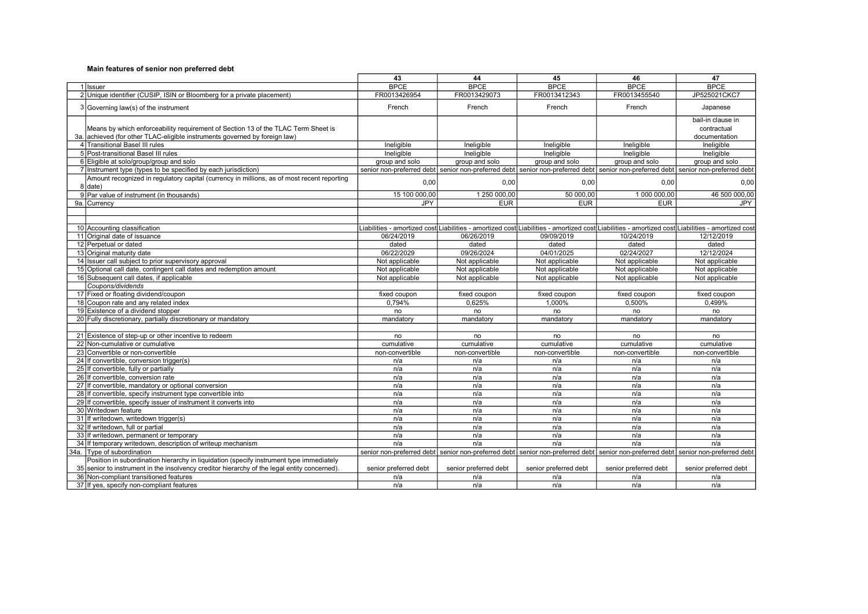|                                                                                                                                                                                         | 43                    | 44                    | 45                                                                                                                                               | 46                    | 47                    |
|-----------------------------------------------------------------------------------------------------------------------------------------------------------------------------------------|-----------------------|-----------------------|--------------------------------------------------------------------------------------------------------------------------------------------------|-----------------------|-----------------------|
| 1 Ilssuer                                                                                                                                                                               | <b>BPCE</b>           | <b>BPCE</b>           | <b>BPCE</b>                                                                                                                                      | <b>BPCE</b>           | <b>BPCE</b>           |
| 2 Unique identifier (CUSIP, ISIN or Bloomberg for a private placement)                                                                                                                  | FR0013426954          | FR0013429073          | FR0013412343                                                                                                                                     | FR0013455540          | JP525021CKC7          |
| 3 Governing law(s) of the instrument                                                                                                                                                    | French                | French                | French                                                                                                                                           | French                | Japanese              |
|                                                                                                                                                                                         |                       |                       |                                                                                                                                                  |                       | bail-in clause in     |
| Means by which enforceability requirement of Section 13 of the TLAC Term Sheet is                                                                                                       |                       |                       |                                                                                                                                                  |                       | contractual           |
| 3a. achieved (for other TLAC-eligible instruments governed by foreign law)                                                                                                              |                       |                       |                                                                                                                                                  |                       | documentation         |
| 4 Transitional Basel III rules                                                                                                                                                          | Ineligible            | Ineligible            | Ineligible                                                                                                                                       | Ineligible            | Ineligible            |
| 5 Post-transitional Basel III rules                                                                                                                                                     | Ineligible            | Ineligible            | Ineligible                                                                                                                                       | Ineligible            | Ineligible            |
| 6 Eligible at solo/group/group and solo                                                                                                                                                 | group and solo        | group and solo        | group and solo                                                                                                                                   | group and solo        | group and solo        |
| 7 Instrument type (types to be specified by each jurisdiction)                                                                                                                          |                       |                       | senior non-preferred debt senior non-preferred debt senior non-preferred debt senior non-preferred debt senior non-preferred debt                |                       |                       |
| Amount recognized in regulatory capital (currency in millions, as of most recent reporting<br>8 date)                                                                                   | 0.00                  | 0,00                  | 0,00                                                                                                                                             | 0.00                  | 0,00                  |
| 9 Par value of instrument (in thousands)                                                                                                                                                | 15 100 000,00         | 1 250 000,00          | 50 000,00                                                                                                                                        | 1 000 000,00          | 46 500 000,00         |
| 9a. Currency                                                                                                                                                                            | JPY                   | <b>EUR</b>            | <b>EUR</b>                                                                                                                                       | <b>EUR</b>            | JPY                   |
|                                                                                                                                                                                         |                       |                       |                                                                                                                                                  |                       |                       |
|                                                                                                                                                                                         |                       |                       |                                                                                                                                                  |                       |                       |
| 10 Accounting classification                                                                                                                                                            |                       |                       | Liabilities - amortized cost∣Liabilities - amortized cost∣Liabilities - amortized cost∣Liabilities - amortized cost∣Liabilities - amortized cost |                       |                       |
| 11 Original date of issuance                                                                                                                                                            | 06/24/2019            | 06/26/2019            | 09/09/2019                                                                                                                                       | 10/24/2019            | 12/12/2019            |
| 12 Perpetual or dated                                                                                                                                                                   | dated                 | dated                 | dated                                                                                                                                            | dated                 | dated                 |
| 13 Original maturity date                                                                                                                                                               | 06/22/2029            | 09/26/2024            | 04/01/2025                                                                                                                                       | 02/24/2027            | 12/12/2024            |
| 14 Issuer call subject to prior supervisory approval                                                                                                                                    | Not applicable        | Not applicable        | Not applicable                                                                                                                                   | Not applicable        | Not applicable        |
| 15 Optional call date, contingent call dates and redemption amount                                                                                                                      | Not applicable        | Not applicable        | Not applicable                                                                                                                                   | Not applicable        | Not applicable        |
| 16 Subsequent call dates, if applicable                                                                                                                                                 | Not applicable        | Not applicable        | Not applicable                                                                                                                                   | Not applicable        | Not applicable        |
| Coupons/dividends                                                                                                                                                                       |                       |                       |                                                                                                                                                  |                       |                       |
| 17 Fixed or floating dividend/coupon                                                                                                                                                    | fixed coupon          | fixed coupon          | fixed coupon                                                                                                                                     | fixed coupon          | fixed coupon          |
| 18 Coupon rate and any related index                                                                                                                                                    | 0,794%                | 0,625%                | 1,000%                                                                                                                                           | 0,500%                | 0,499%                |
| 19 Existence of a dividend stopper                                                                                                                                                      | no                    | no                    | no                                                                                                                                               | no                    | no                    |
| 20 Fully discretionary, partially discretionary or mandatory                                                                                                                            | mandatory             | mandatory             | mandatory                                                                                                                                        | mandatory             | mandatory             |
|                                                                                                                                                                                         |                       |                       |                                                                                                                                                  |                       |                       |
| 21 Existence of step-up or other incentive to redeem                                                                                                                                    | no                    | no                    | no                                                                                                                                               | no                    | no                    |
| 22 Non-cumulative or cumulative                                                                                                                                                         | cumulative            | cumulative            | cumulative                                                                                                                                       | cumulative            | cumulative            |
| 23 Convertible or non-convertible                                                                                                                                                       | non-convertible       | non-convertible       | non-convertible                                                                                                                                  | non-convertible       | non-convertible       |
| 24 If convertible, conversion trigger(s)                                                                                                                                                | n/a                   | n/a                   | n/a                                                                                                                                              | n/a                   | n/a                   |
| 25 If convertible, fully or partially                                                                                                                                                   | n/a                   | n/a                   | n/a                                                                                                                                              | n/a                   | n/a                   |
| 26 If convertible, conversion rate                                                                                                                                                      | n/a                   | n/a                   | n/a                                                                                                                                              | n/a                   | n/a                   |
| 27 If convertible, mandatory or optional conversion                                                                                                                                     | n/a                   | n/a                   | n/a                                                                                                                                              | n/a                   | n/a                   |
| 28 If convertible, specify instrument type convertible into                                                                                                                             | n/a                   | n/a                   | n/a                                                                                                                                              | n/a                   | n/a                   |
| 29 If convertible, specify issuer of instrument it converts into                                                                                                                        | n/a                   | n/a                   | n/a                                                                                                                                              | n/a                   | n/a                   |
| 30 Writedown feature                                                                                                                                                                    | n/a                   | n/a                   | n/a                                                                                                                                              | n/a                   | n/a                   |
| 31 If writedown, writedown trigger(s)                                                                                                                                                   | n/a                   | n/a                   | n/a                                                                                                                                              | n/a                   | n/a                   |
| 32 If writedown, full or partial                                                                                                                                                        | n/a                   | n/a                   | n/a                                                                                                                                              | n/a                   | n/a                   |
| 33 If writedown, permanent or temporary                                                                                                                                                 | n/a                   | n/a                   | n/a                                                                                                                                              | n/a                   | n/a                   |
| 34 If temporary writedown, description of writeup mechanism                                                                                                                             | n/a                   | n/a                   | n/a                                                                                                                                              | n/a                   | n/a                   |
| 34a. Type of subordination                                                                                                                                                              |                       |                       | senior non-preferred debt senior non-preferred debt senior non-preferred debt senior non-preferred debt senior non-preferred debt                |                       |                       |
| Position in subordination hierarchy in liquidation (specify instrument type immediately<br>35 senior to instrument in the insolvency creditor hierarchy of the legal entity concerned). | senior preferred debt | senior preferred debt | senior preferred debt                                                                                                                            | senior preferred debt | senior preferred debt |
| 36 Non-compliant transitioned features                                                                                                                                                  | n/a                   | n/a                   | n/a                                                                                                                                              | n/a                   | n/a                   |
| 37 If yes, specify non-compliant features                                                                                                                                               | n/a                   | n/a                   | n/a                                                                                                                                              | n/a                   | n/a                   |